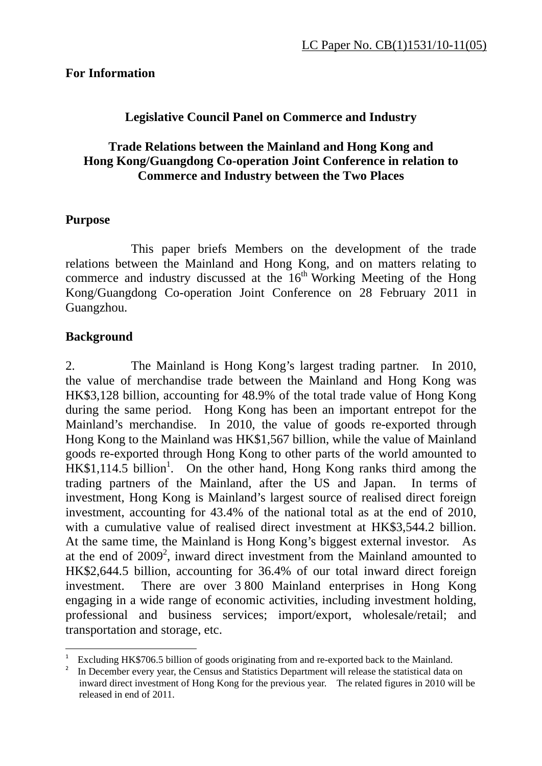#### **For Information**

## **Legislative Council Panel on Commerce and Industry**

## **Trade Relations between the Mainland and Hong Kong and Hong Kong/Guangdong Co-operation Joint Conference in relation to Commerce and Industry between the Two Places**

## **Purpose**

 This paper briefs Members on the development of the trade relations between the Mainland and Hong Kong, and on matters relating to commerce and industry discussed at the  $16<sup>th</sup>$  Working Meeting of the Hong Kong/Guangdong Co-operation Joint Conference on 28 February 2011 in Guangzhou.

## **Background**

1

2. The Mainland is Hong Kong's largest trading partner. In 2010, the value of merchandise trade between the Mainland and Hong Kong was HK\$3,128 billion, accounting for 48.9% of the total trade value of Hong Kong during the same period. Hong Kong has been an important entrepot for the Mainland's merchandise. In 2010, the value of goods re-exported through Hong Kong to the Mainland was HK\$1,567 billion, while the value of Mainland goods re-exported through Hong Kong to other parts of the world amounted to  $HK$1,114.5$  billion<sup>1</sup>. On the other hand, Hong Kong ranks third among the trading partners of the Mainland, after the US and Japan. In terms of investment, Hong Kong is Mainland's largest source of realised direct foreign investment, accounting for 43.4% of the national total as at the end of 2010, with a cumulative value of realised direct investment at HK\$3,544.2 billion. At the same time, the Mainland is Hong Kong's biggest external investor. As at the end of  $2009^2$ , inward direct investment from the Mainland amounted to HK\$2,644.5 billion, accounting for 36.4% of our total inward direct foreign investment. There are over 3 800 Mainland enterprises in Hong Kong engaging in a wide range of economic activities, including investment holding, professional and business services; import/export, wholesale/retail; and transportation and storage, etc.

<sup>1</sup> Excluding HK\$706.5 billion of goods originating from and re-exported back to the Mainland.

<sup>2</sup> In December every year, the Census and Statistics Department will release the statistical data on inward direct investment of Hong Kong for the previous year. The related figures in 2010 will be released in end of 2011.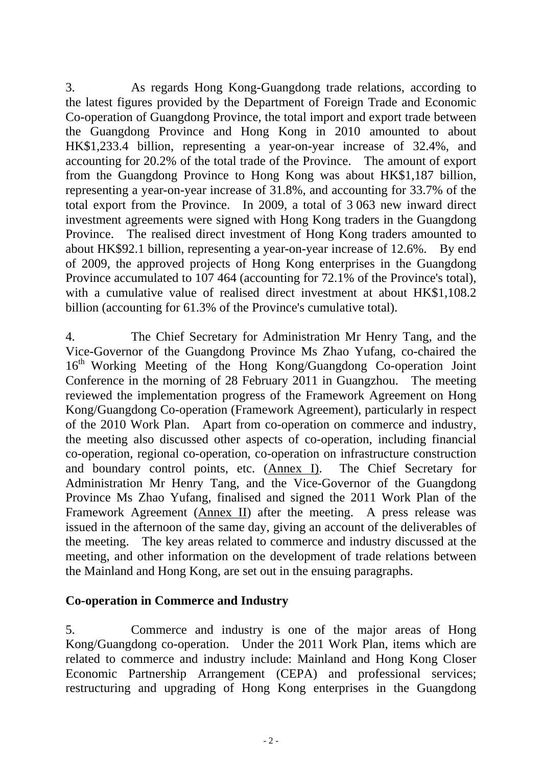3. As regards Hong Kong-Guangdong trade relations, according to the latest figures provided by the Department of Foreign Trade and Economic Co-operation of Guangdong Province, the total import and export trade between the Guangdong Province and Hong Kong in 2010 amounted to about HK\$1,233.4 billion, representing a year-on-year increase of 32.4%, and accounting for 20.2% of the total trade of the Province. The amount of export from the Guangdong Province to Hong Kong was about HK\$1,187 billion, representing a year-on-year increase of 31.8%, and accounting for 33.7% of the total export from the Province. In 2009, a total of 3 063 new inward direct investment agreements were signed with Hong Kong traders in the Guangdong Province. The realised direct investment of Hong Kong traders amounted to about HK\$92.1 billion, representing a year-on-year increase of 12.6%. By end of 2009, the approved projects of Hong Kong enterprises in the Guangdong Province accumulated to 107 464 (accounting for 72.1% of the Province's total), with a cumulative value of realised direct investment at about HK\$1,108.2 billion (accounting for 61.3% of the Province's cumulative total).

4. The Chief Secretary for Administration Mr Henry Tang, and the Vice-Governor of the Guangdong Province Ms Zhao Yufang, co-chaired the 16th Working Meeting of the Hong Kong/Guangdong Co-operation Joint Conference in the morning of 28 February 2011 in Guangzhou. The meeting reviewed the implementation progress of the Framework Agreement on Hong Kong/Guangdong Co-operation (Framework Agreement), particularly in respect of the 2010 Work Plan. Apart from co-operation on commerce and industry, the meeting also discussed other aspects of co-operation, including financial co-operation, regional co-operation, co-operation on infrastructure construction and boundary control points, etc. (Annex I). The Chief Secretary for Administration Mr Henry Tang, and the Vice-Governor of the Guangdong Province Ms Zhao Yufang, finalised and signed the 2011 Work Plan of the Framework Agreement (Annex II) after the meeting. A press release was issued in the afternoon of the same day, giving an account of the deliverables of the meeting. The key areas related to commerce and industry discussed at the meeting, and other information on the development of trade relations between the Mainland and Hong Kong, are set out in the ensuing paragraphs.

## **Co-operation in Commerce and Industry**

5. Commerce and industry is one of the major areas of Hong Kong/Guangdong co-operation. Under the 2011 Work Plan, items which are related to commerce and industry include: Mainland and Hong Kong Closer Economic Partnership Arrangement (CEPA) and professional services; restructuring and upgrading of Hong Kong enterprises in the Guangdong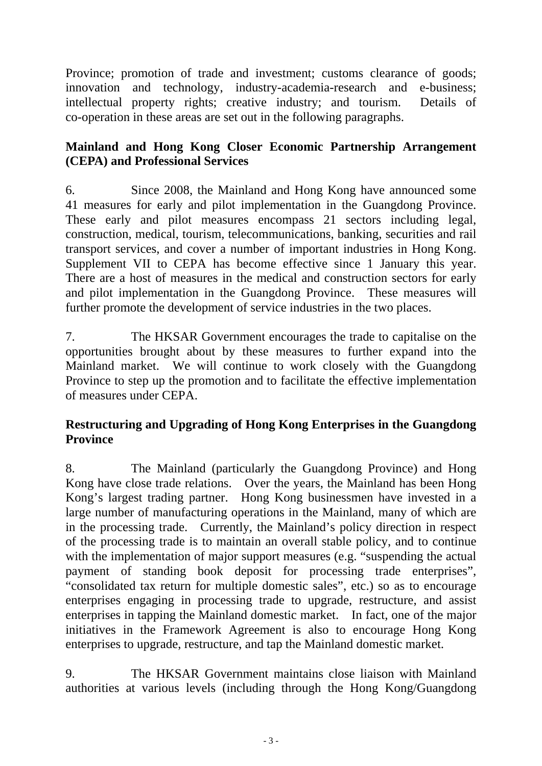Province; promotion of trade and investment; customs clearance of goods; innovation and technology, industry-academia-research and e-business; intellectual property rights; creative industry; and tourism. Details of co-operation in these areas are set out in the following paragraphs.

# **Mainland and Hong Kong Closer Economic Partnership Arrangement (CEPA) and Professional Services**

6. Since 2008, the Mainland and Hong Kong have announced some 41 measures for early and pilot implementation in the Guangdong Province. These early and pilot measures encompass 21 sectors including legal, construction, medical, tourism, telecommunications, banking, securities and rail transport services, and cover a number of important industries in Hong Kong. Supplement VII to CEPA has become effective since 1 January this year. There are a host of measures in the medical and construction sectors for early and pilot implementation in the Guangdong Province. These measures will further promote the development of service industries in the two places.

7. The HKSAR Government encourages the trade to capitalise on the opportunities brought about by these measures to further expand into the Mainland market. We will continue to work closely with the Guangdong Province to step up the promotion and to facilitate the effective implementation of measures under CEPA.

# **Restructuring and Upgrading of Hong Kong Enterprises in the Guangdong Province**

8. The Mainland (particularly the Guangdong Province) and Hong Kong have close trade relations. Over the years, the Mainland has been Hong Kong's largest trading partner. Hong Kong businessmen have invested in a large number of manufacturing operations in the Mainland, many of which are in the processing trade. Currently, the Mainland's policy direction in respect of the processing trade is to maintain an overall stable policy, and to continue with the implementation of major support measures (e.g. "suspending the actual payment of standing book deposit for processing trade enterprises", "consolidated tax return for multiple domestic sales", etc.) so as to encourage enterprises engaging in processing trade to upgrade, restructure, and assist enterprises in tapping the Mainland domestic market. In fact, one of the major initiatives in the Framework Agreement is also to encourage Hong Kong enterprises to upgrade, restructure, and tap the Mainland domestic market.

9. The HKSAR Government maintains close liaison with Mainland authorities at various levels (including through the Hong Kong/Guangdong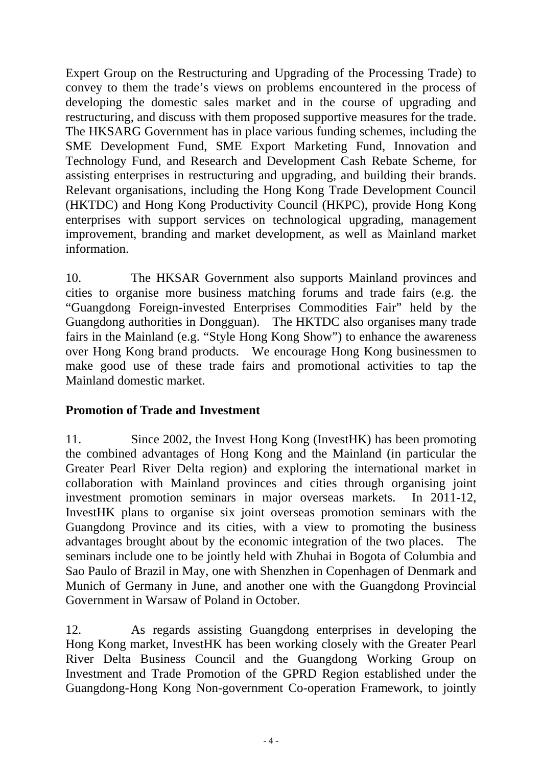Expert Group on the Restructuring and Upgrading of the Processing Trade) to convey to them the trade's views on problems encountered in the process of developing the domestic sales market and in the course of upgrading and restructuring, and discuss with them proposed supportive measures for the trade. The HKSARG Government has in place various funding schemes, including the SME Development Fund, SME Export Marketing Fund, Innovation and Technology Fund, and Research and Development Cash Rebate Scheme, for assisting enterprises in restructuring and upgrading, and building their brands. Relevant organisations, including the Hong Kong Trade Development Council (HKTDC) and Hong Kong Productivity Council (HKPC), provide Hong Kong enterprises with support services on technological upgrading, management improvement, branding and market development, as well as Mainland market information.

10. The HKSAR Government also supports Mainland provinces and cities to organise more business matching forums and trade fairs (e.g. the "Guangdong Foreign-invested Enterprises Commodities Fair" held by the Guangdong authorities in Dongguan). The HKTDC also organises many trade fairs in the Mainland (e.g. "Style Hong Kong Show") to enhance the awareness over Hong Kong brand products. We encourage Hong Kong businessmen to make good use of these trade fairs and promotional activities to tap the Mainland domestic market.

# **Promotion of Trade and Investment**

11. Since 2002, the Invest Hong Kong (InvestHK) has been promoting the combined advantages of Hong Kong and the Mainland (in particular the Greater Pearl River Delta region) and exploring the international market in collaboration with Mainland provinces and cities through organising joint investment promotion seminars in major overseas markets. In 2011-12, InvestHK plans to organise six joint overseas promotion seminars with the Guangdong Province and its cities, with a view to promoting the business advantages brought about by the economic integration of the two places. The seminars include one to be jointly held with Zhuhai in Bogota of Columbia and Sao Paulo of Brazil in May, one with Shenzhen in Copenhagen of Denmark and Munich of Germany in June, and another one with the Guangdong Provincial Government in Warsaw of Poland in October.

12. As regards assisting Guangdong enterprises in developing the Hong Kong market, InvestHK has been working closely with the Greater Pearl River Delta Business Council and the Guangdong Working Group on Investment and Trade Promotion of the GPRD Region established under the Guangdong-Hong Kong Non-government Co-operation Framework, to jointly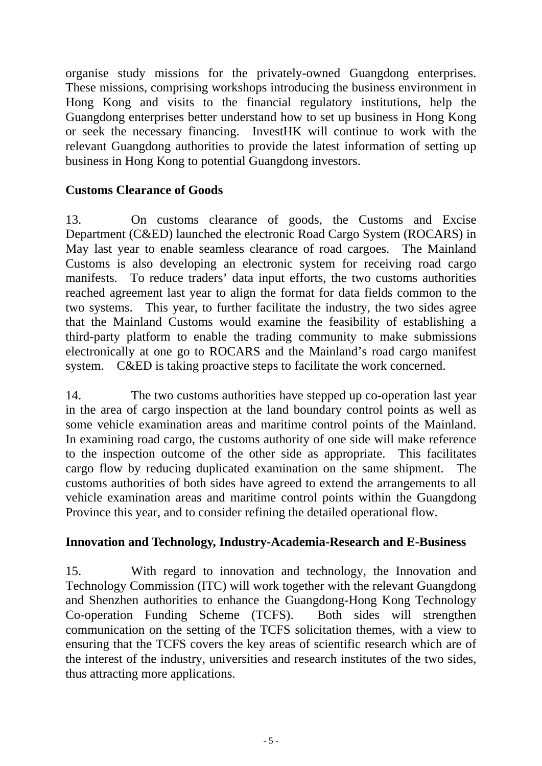organise study missions for the privately-owned Guangdong enterprises. These missions, comprising workshops introducing the business environment in Hong Kong and visits to the financial regulatory institutions, help the Guangdong enterprises better understand how to set up business in Hong Kong or seek the necessary financing. InvestHK will continue to work with the relevant Guangdong authorities to provide the latest information of setting up business in Hong Kong to potential Guangdong investors.

## **Customs Clearance of Goods**

13. On customs clearance of goods, the Customs and Excise Department (C&ED) launched the electronic Road Cargo System (ROCARS) in May last year to enable seamless clearance of road cargoes. The Mainland Customs is also developing an electronic system for receiving road cargo manifests. To reduce traders' data input efforts, the two customs authorities reached agreement last year to align the format for data fields common to the two systems. This year, to further facilitate the industry, the two sides agree that the Mainland Customs would examine the feasibility of establishing a third-party platform to enable the trading community to make submissions electronically at one go to ROCARS and the Mainland's road cargo manifest system. C&ED is taking proactive steps to facilitate the work concerned.

14. The two customs authorities have stepped up co-operation last year in the area of cargo inspection at the land boundary control points as well as some vehicle examination areas and maritime control points of the Mainland. In examining road cargo, the customs authority of one side will make reference to the inspection outcome of the other side as appropriate. This facilitates cargo flow by reducing duplicated examination on the same shipment. The customs authorities of both sides have agreed to extend the arrangements to all vehicle examination areas and maritime control points within the Guangdong Province this year, and to consider refining the detailed operational flow.

## **Innovation and Technology, Industry-Academia-Research and E-Business**

15. With regard to innovation and technology, the Innovation and Technology Commission (ITC) will work together with the relevant Guangdong and Shenzhen authorities to enhance the Guangdong-Hong Kong Technology Co-operation Funding Scheme (TCFS). Both sides will strengthen communication on the setting of the TCFS solicitation themes, with a view to ensuring that the TCFS covers the key areas of scientific research which are of the interest of the industry, universities and research institutes of the two sides, thus attracting more applications.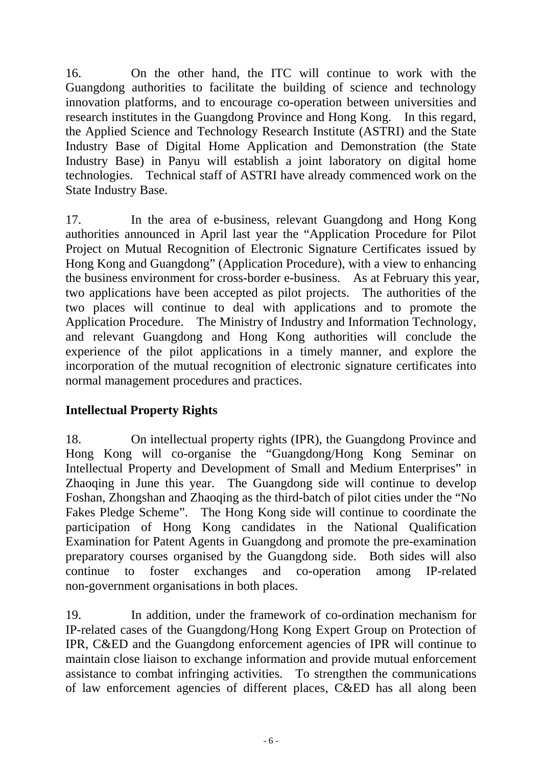16. On the other hand, the ITC will continue to work with the Guangdong authorities to facilitate the building of science and technology innovation platforms, and to encourage co-operation between universities and research institutes in the Guangdong Province and Hong Kong. In this regard, the Applied Science and Technology Research Institute (ASTRI) and the State Industry Base of Digital Home Application and Demonstration (the State Industry Base) in Panyu will establish a joint laboratory on digital home technologies. Technical staff of ASTRI have already commenced work on the State Industry Base.

17. In the area of e-business, relevant Guangdong and Hong Kong authorities announced in April last year the "Application Procedure for Pilot Project on Mutual Recognition of Electronic Signature Certificates issued by Hong Kong and Guangdong" (Application Procedure), with a view to enhancing the business environment for cross-border e-business. As at February this year, two applications have been accepted as pilot projects. The authorities of the two places will continue to deal with applications and to promote the Application Procedure. The Ministry of Industry and Information Technology, and relevant Guangdong and Hong Kong authorities will conclude the experience of the pilot applications in a timely manner, and explore the incorporation of the mutual recognition of electronic signature certificates into normal management procedures and practices.

# **Intellectual Property Rights**

18. On intellectual property rights (IPR), the Guangdong Province and Hong Kong will co-organise the "Guangdong/Hong Kong Seminar on Intellectual Property and Development of Small and Medium Enterprises" in Zhaoqing in June this year. The Guangdong side will continue to develop Foshan, Zhongshan and Zhaoqing as the third-batch of pilot cities under the "No Fakes Pledge Scheme". The Hong Kong side will continue to coordinate the participation of Hong Kong candidates in the National Qualification Examination for Patent Agents in Guangdong and promote the pre-examination preparatory courses organised by the Guangdong side. Both sides will also continue to foster exchanges and co-operation among IP-related non-government organisations in both places.

19. In addition, under the framework of co-ordination mechanism for IP-related cases of the Guangdong/Hong Kong Expert Group on Protection of IPR, C&ED and the Guangdong enforcement agencies of IPR will continue to maintain close liaison to exchange information and provide mutual enforcement assistance to combat infringing activities. To strengthen the communications of law enforcement agencies of different places, C&ED has all along been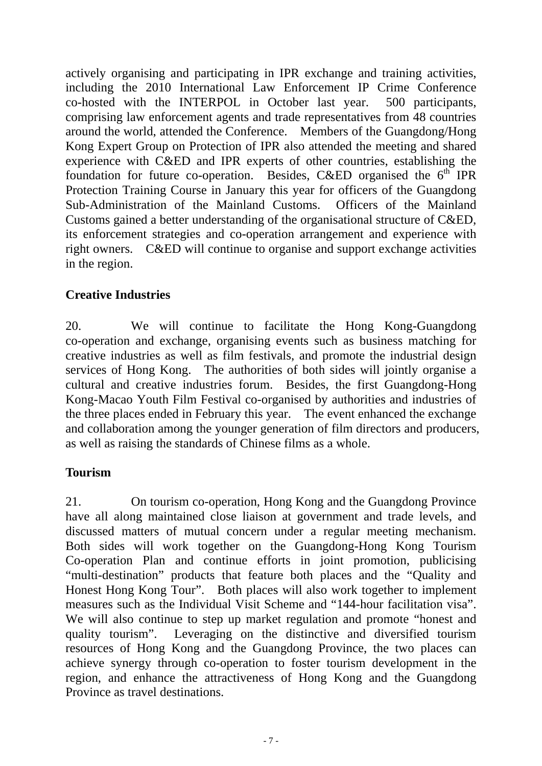actively organising and participating in IPR exchange and training activities, including the 2010 International Law Enforcement IP Crime Conference co-hosted with the INTERPOL in October last year. 500 participants, comprising law enforcement agents and trade representatives from 48 countries around the world, attended the Conference. Members of the Guangdong/Hong Kong Expert Group on Protection of IPR also attended the meeting and shared experience with C&ED and IPR experts of other countries, establishing the foundation for future co-operation. Besides, C&ED organised the  $6<sup>th</sup>$  IPR Protection Training Course in January this year for officers of the Guangdong Sub-Administration of the Mainland Customs. Officers of the Mainland Customs gained a better understanding of the organisational structure of C&ED, its enforcement strategies and co-operation arrangement and experience with right owners. C&ED will continue to organise and support exchange activities in the region.

# **Creative Industries**

20. We will continue to facilitate the Hong Kong-Guangdong co-operation and exchange, organising events such as business matching for creative industries as well as film festivals, and promote the industrial design services of Hong Kong. The authorities of both sides will jointly organise a cultural and creative industries forum. Besides, the first Guangdong-Hong Kong-Macao Youth Film Festival co-organised by authorities and industries of the three places ended in February this year. The event enhanced the exchange and collaboration among the younger generation of film directors and producers, as well as raising the standards of Chinese films as a whole.

## **Tourism**

21. On tourism co-operation, Hong Kong and the Guangdong Province have all along maintained close liaison at government and trade levels, and discussed matters of mutual concern under a regular meeting mechanism. Both sides will work together on the Guangdong-Hong Kong Tourism Co-operation Plan and continue efforts in joint promotion, publicising "multi-destination" products that feature both places and the "Quality and Honest Hong Kong Tour". Both places will also work together to implement measures such as the Individual Visit Scheme and "144-hour facilitation visa". We will also continue to step up market regulation and promote "honest and quality tourism". Leveraging on the distinctive and diversified tourism resources of Hong Kong and the Guangdong Province, the two places can achieve synergy through co-operation to foster tourism development in the region, and enhance the attractiveness of Hong Kong and the Guangdong Province as travel destinations.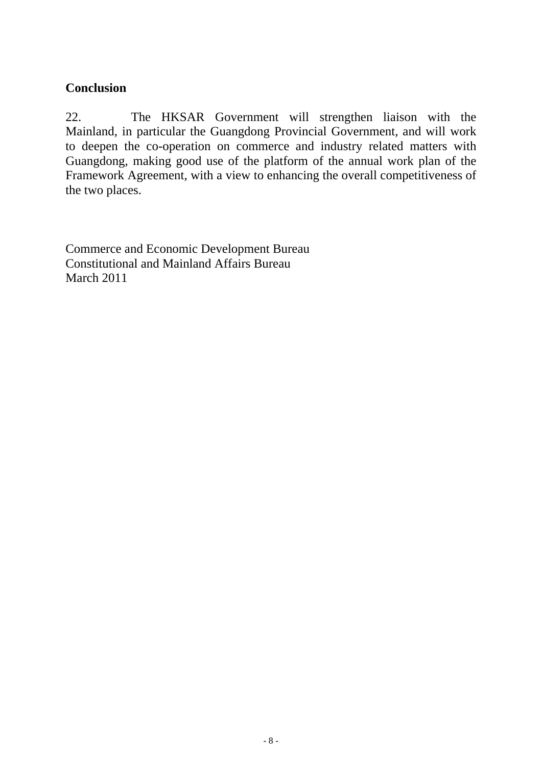## **Conclusion**

22. The HKSAR Government will strengthen liaison with the Mainland, in particular the Guangdong Provincial Government, and will work to deepen the co-operation on commerce and industry related matters with Guangdong, making good use of the platform of the annual work plan of the Framework Agreement, with a view to enhancing the overall competitiveness of the two places.

Commerce and Economic Development Bureau Constitutional and Mainland Affairs Bureau March 2011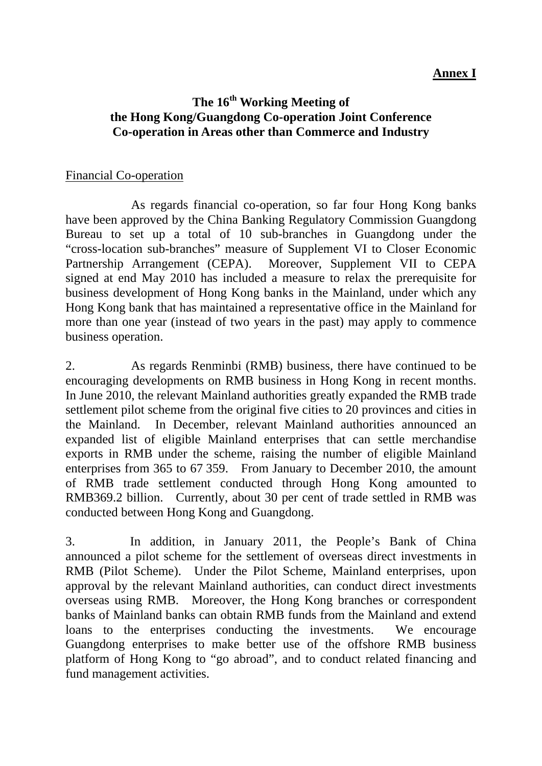#### **Annex I**

## **The 16th Working Meeting of the Hong Kong/Guangdong Co-operation Joint Conference Co-operation in Areas other than Commerce and Industry**

#### Financial Co-operation

 As regards financial co-operation, so far four Hong Kong banks have been approved by the China Banking Regulatory Commission Guangdong Bureau to set up a total of 10 sub-branches in Guangdong under the "cross-location sub-branches" measure of Supplement VI to Closer Economic Partnership Arrangement (CEPA). Moreover, Supplement VII to CEPA signed at end May 2010 has included a measure to relax the prerequisite for business development of Hong Kong banks in the Mainland, under which any Hong Kong bank that has maintained a representative office in the Mainland for more than one year (instead of two years in the past) may apply to commence business operation.

2. As regards Renminbi (RMB) business, there have continued to be encouraging developments on RMB business in Hong Kong in recent months. In June 2010, the relevant Mainland authorities greatly expanded the RMB trade settlement pilot scheme from the original five cities to 20 provinces and cities in the Mainland. In December, relevant Mainland authorities announced an expanded list of eligible Mainland enterprises that can settle merchandise exports in RMB under the scheme, raising the number of eligible Mainland enterprises from 365 to 67 359. From January to December 2010, the amount of RMB trade settlement conducted through Hong Kong amounted to RMB369.2 billion. Currently, about 30 per cent of trade settled in RMB was conducted between Hong Kong and Guangdong.

3. In addition, in January 2011, the People's Bank of China announced a pilot scheme for the settlement of overseas direct investments in RMB (Pilot Scheme). Under the Pilot Scheme, Mainland enterprises, upon approval by the relevant Mainland authorities, can conduct direct investments overseas using RMB. Moreover, the Hong Kong branches or correspondent banks of Mainland banks can obtain RMB funds from the Mainland and extend loans to the enterprises conducting the investments. We encourage Guangdong enterprises to make better use of the offshore RMB business platform of Hong Kong to "go abroad", and to conduct related financing and fund management activities.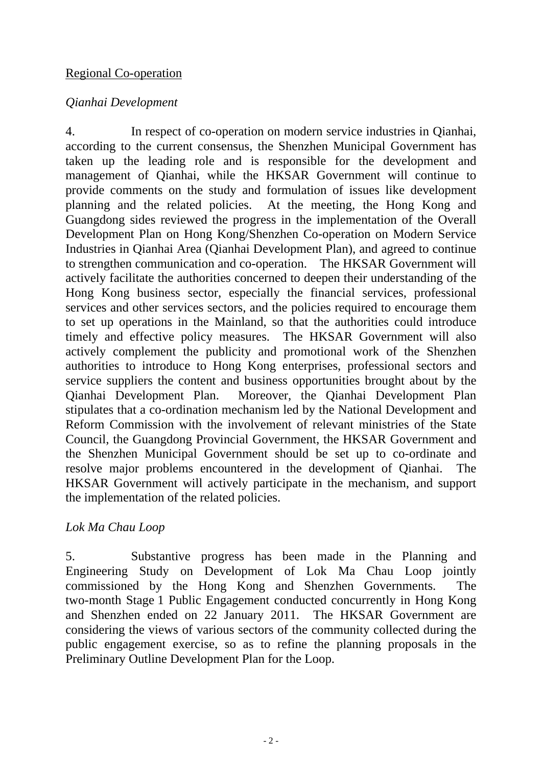#### Regional Co-operation

## *Qianhai Development*

4. In respect of co-operation on modern service industries in Qianhai, according to the current consensus, the Shenzhen Municipal Government has taken up the leading role and is responsible for the development and management of Qianhai, while the HKSAR Government will continue to provide comments on the study and formulation of issues like development planning and the related policies. At the meeting, the Hong Kong and Guangdong sides reviewed the progress in the implementation of the Overall Development Plan on Hong Kong/Shenzhen Co-operation on Modern Service Industries in Qianhai Area (Qianhai Development Plan), and agreed to continue to strengthen communication and co-operation. The HKSAR Government will actively facilitate the authorities concerned to deepen their understanding of the Hong Kong business sector, especially the financial services, professional services and other services sectors, and the policies required to encourage them to set up operations in the Mainland, so that the authorities could introduce timely and effective policy measures. The HKSAR Government will also actively complement the publicity and promotional work of the Shenzhen authorities to introduce to Hong Kong enterprises, professional sectors and service suppliers the content and business opportunities brought about by the Qianhai Development Plan. Moreover, the Qianhai Development Plan stipulates that a co-ordination mechanism led by the National Development and Reform Commission with the involvement of relevant ministries of the State Council, the Guangdong Provincial Government, the HKSAR Government and the Shenzhen Municipal Government should be set up to co-ordinate and resolve major problems encountered in the development of Qianhai. The HKSAR Government will actively participate in the mechanism, and support the implementation of the related policies.

## *Lok Ma Chau Loop*

5. Substantive progress has been made in the Planning and Engineering Study on Development of Lok Ma Chau Loop jointly commissioned by the Hong Kong and Shenzhen Governments. The two-month Stage 1 Public Engagement conducted concurrently in Hong Kong and Shenzhen ended on 22 January 2011. The HKSAR Government are considering the views of various sectors of the community collected during the public engagement exercise, so as to refine the planning proposals in the Preliminary Outline Development Plan for the Loop.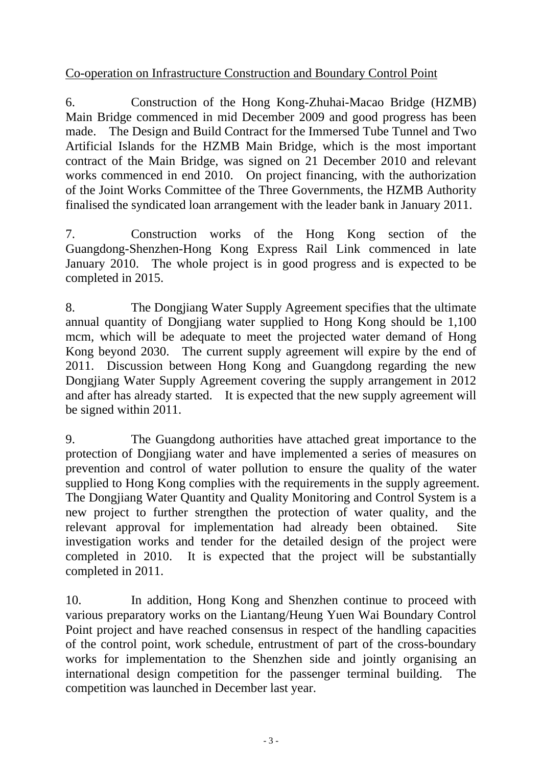## Co-operation on Infrastructure Construction and Boundary Control Point

6. Construction of the Hong Kong-Zhuhai-Macao Bridge (HZMB) Main Bridge commenced in mid December 2009 and good progress has been made. The Design and Build Contract for the Immersed Tube Tunnel and Two Artificial Islands for the HZMB Main Bridge, which is the most important contract of the Main Bridge, was signed on 21 December 2010 and relevant works commenced in end 2010. On project financing, with the authorization of the Joint Works Committee of the Three Governments, the HZMB Authority finalised the syndicated loan arrangement with the leader bank in January 2011.

7. Construction works of the Hong Kong section of the Guangdong-Shenzhen-Hong Kong Express Rail Link commenced in late January 2010. The whole project is in good progress and is expected to be completed in 2015.

8. The Dongjiang Water Supply Agreement specifies that the ultimate annual quantity of Dongjiang water supplied to Hong Kong should be 1,100 mcm, which will be adequate to meet the projected water demand of Hong Kong beyond 2030. The current supply agreement will expire by the end of 2011. Discussion between Hong Kong and Guangdong regarding the new Dongjiang Water Supply Agreement covering the supply arrangement in 2012 and after has already started. It is expected that the new supply agreement will be signed within 2011.

9. The Guangdong authorities have attached great importance to the protection of Dongjiang water and have implemented a series of measures on prevention and control of water pollution to ensure the quality of the water supplied to Hong Kong complies with the requirements in the supply agreement. The Dongjiang Water Quantity and Quality Monitoring and Control System is a new project to further strengthen the protection of water quality, and the relevant approval for implementation had already been obtained. Site investigation works and tender for the detailed design of the project were completed in 2010. It is expected that the project will be substantially completed in 2011.

10. In addition, Hong Kong and Shenzhen continue to proceed with various preparatory works on the Liantang/Heung Yuen Wai Boundary Control Point project and have reached consensus in respect of the handling capacities of the control point, work schedule, entrustment of part of the cross-boundary works for implementation to the Shenzhen side and jointly organising an international design competition for the passenger terminal building. The competition was launched in December last year.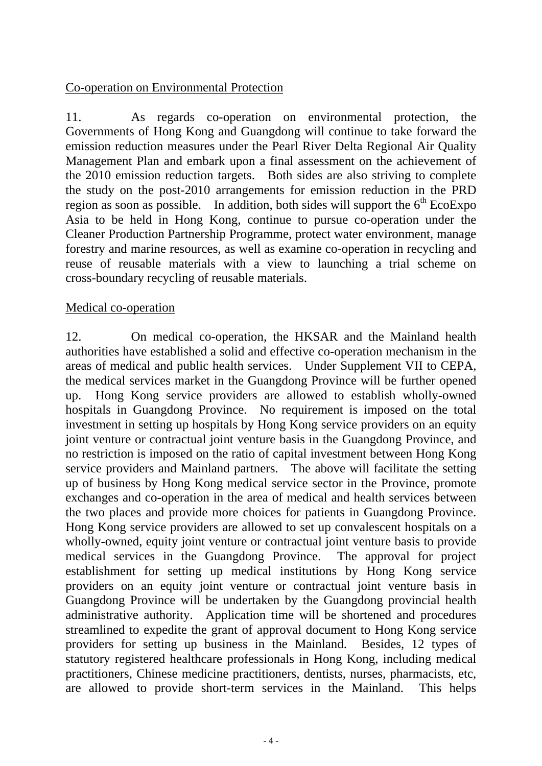## Co-operation on Environmental Protection

11. As regards co-operation on environmental protection, the Governments of Hong Kong and Guangdong will continue to take forward the emission reduction measures under the Pearl River Delta Regional Air Quality Management Plan and embark upon a final assessment on the achievement of the 2010 emission reduction targets. Both sides are also striving to complete the study on the post-2010 arrangements for emission reduction in the PRD region as soon as possible. In addition, both sides will support the  $6<sup>th</sup>$  EcoExpo Asia to be held in Hong Kong, continue to pursue co-operation under the Cleaner Production Partnership Programme, protect water environment, manage forestry and marine resources, as well as examine co-operation in recycling and reuse of reusable materials with a view to launching a trial scheme on cross-boundary recycling of reusable materials.

#### Medical co-operation

12. On medical co-operation, the HKSAR and the Mainland health authorities have established a solid and effective co-operation mechanism in the areas of medical and public health services. Under Supplement VII to CEPA, the medical services market in the Guangdong Province will be further opened up. Hong Kong service providers are allowed to establish wholly-owned hospitals in Guangdong Province. No requirement is imposed on the total investment in setting up hospitals by Hong Kong service providers on an equity joint venture or contractual joint venture basis in the Guangdong Province, and no restriction is imposed on the ratio of capital investment between Hong Kong service providers and Mainland partners. The above will facilitate the setting up of business by Hong Kong medical service sector in the Province, promote exchanges and co-operation in the area of medical and health services between the two places and provide more choices for patients in Guangdong Province. Hong Kong service providers are allowed to set up convalescent hospitals on a wholly-owned, equity joint venture or contractual joint venture basis to provide medical services in the Guangdong Province. The approval for project establishment for setting up medical institutions by Hong Kong service providers on an equity joint venture or contractual joint venture basis in Guangdong Province will be undertaken by the Guangdong provincial health administrative authority. Application time will be shortened and procedures streamlined to expedite the grant of approval document to Hong Kong service providers for setting up business in the Mainland. Besides, 12 types of statutory registered healthcare professionals in Hong Kong, including medical practitioners, Chinese medicine practitioners, dentists, nurses, pharmacists, etc, are allowed to provide short-term services in the Mainland. This helps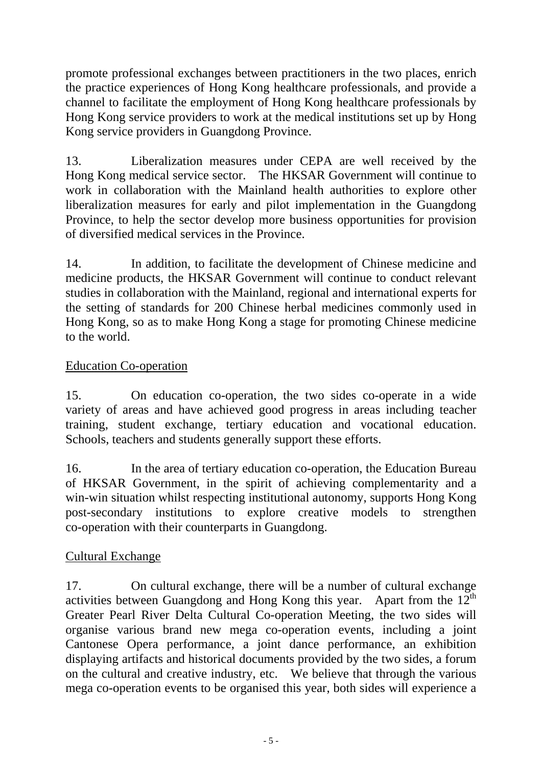promote professional exchanges between practitioners in the two places, enrich the practice experiences of Hong Kong healthcare professionals, and provide a channel to facilitate the employment of Hong Kong healthcare professionals by Hong Kong service providers to work at the medical institutions set up by Hong Kong service providers in Guangdong Province.

13. Liberalization measures under CEPA are well received by the Hong Kong medical service sector. The HKSAR Government will continue to work in collaboration with the Mainland health authorities to explore other liberalization measures for early and pilot implementation in the Guangdong Province, to help the sector develop more business opportunities for provision of diversified medical services in the Province.

14. In addition, to facilitate the development of Chinese medicine and medicine products, the HKSAR Government will continue to conduct relevant studies in collaboration with the Mainland, regional and international experts for the setting of standards for 200 Chinese herbal medicines commonly used in Hong Kong, so as to make Hong Kong a stage for promoting Chinese medicine to the world.

# Education Co-operation

15. On education co-operation, the two sides co-operate in a wide variety of areas and have achieved good progress in areas including teacher training, student exchange, tertiary education and vocational education. Schools, teachers and students generally support these efforts.

16. In the area of tertiary education co-operation, the Education Bureau of HKSAR Government, in the spirit of achieving complementarity and a win-win situation whilst respecting institutional autonomy, supports Hong Kong post-secondary institutions to explore creative models to strengthen co-operation with their counterparts in Guangdong.

# Cultural Exchange

17. On cultural exchange, there will be a number of cultural exchange activities between Guangdong and Hong Kong this year. Apart from the  $12<sup>th</sup>$ Greater Pearl River Delta Cultural Co-operation Meeting, the two sides will organise various brand new mega co-operation events, including a joint Cantonese Opera performance, a joint dance performance, an exhibition displaying artifacts and historical documents provided by the two sides, a forum on the cultural and creative industry, etc. We believe that through the various mega co-operation events to be organised this year, both sides will experience a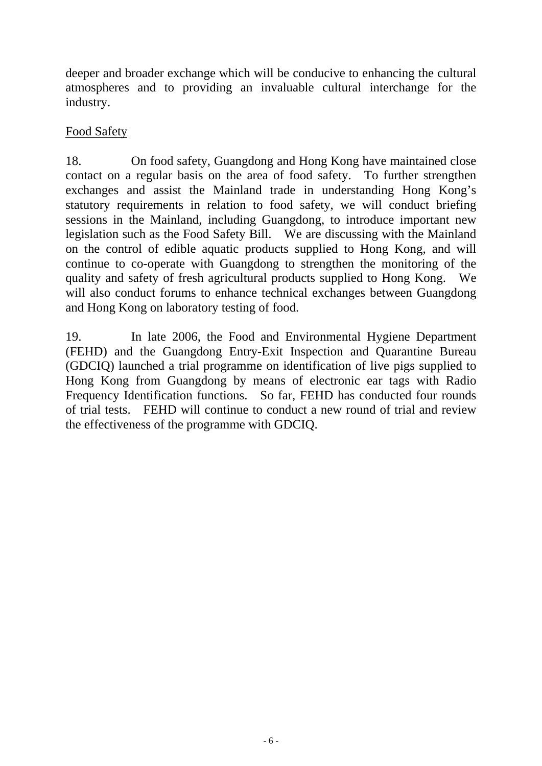deeper and broader exchange which will be conducive to enhancing the cultural atmospheres and to providing an invaluable cultural interchange for the industry.

## Food Safety

18. On food safety, Guangdong and Hong Kong have maintained close contact on a regular basis on the area of food safety. To further strengthen exchanges and assist the Mainland trade in understanding Hong Kong's statutory requirements in relation to food safety, we will conduct briefing sessions in the Mainland, including Guangdong, to introduce important new legislation such as the Food Safety Bill. We are discussing with the Mainland on the control of edible aquatic products supplied to Hong Kong, and will continue to co-operate with Guangdong to strengthen the monitoring of the quality and safety of fresh agricultural products supplied to Hong Kong. We will also conduct forums to enhance technical exchanges between Guangdong and Hong Kong on laboratory testing of food.

19. In late 2006, the Food and Environmental Hygiene Department (FEHD) and the Guangdong Entry-Exit Inspection and Quarantine Bureau (GDCIQ) launched a trial programme on identification of live pigs supplied to Hong Kong from Guangdong by means of electronic ear tags with Radio Frequency Identification functions. So far, FEHD has conducted four rounds of trial tests. FEHD will continue to conduct a new round of trial and review the effectiveness of the programme with GDCIQ.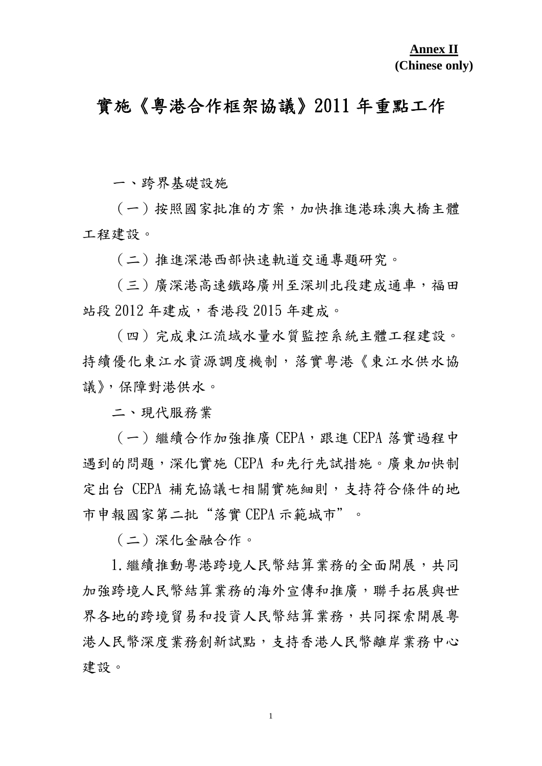# 實施《粵港合作框架協議》2011 年重點工作

一、跨界基礎設施

(一)按照國家批准的方案,加快推進港珠澳大橋主體 工程建設。

(二)推進深港西部快速軌道交通專題研究。

(三)廣深港高速鐵路廣州至深圳北段建成通車,福田 站段 2012 年建成, 香港段 2015 年建成。

(四)完成東江流域水量水質監控系統主體工程建設。 持續優化東江水資源調度機制,落實粵港《東江水供水協 議》,保障對港供水。

二、現代服務業

(一)繼續合作加強推廣 CEPA,跟進 CEPA 落實過程中 遇到的問題,深化實施 CEPA 和先行先試措施。廣東加快制 定出台 CEPA 補充協議七相關實施細則,支持符合條件的地 市申報國家第二批"落實 CEPA 示範城市"。

(二)深化金融合作。

1.繼續推動粵港跨境人民幣結算業務的全面開展,共同 加強跨境人民幣結算業務的海外宣傳和推廣,聯手拓展與世 界各地的跨境貿易和投資人民幣結算業務,共同探索開展粵 港人民幣深度業務創新試點,支持香港人民幣離岸業務中心 建設。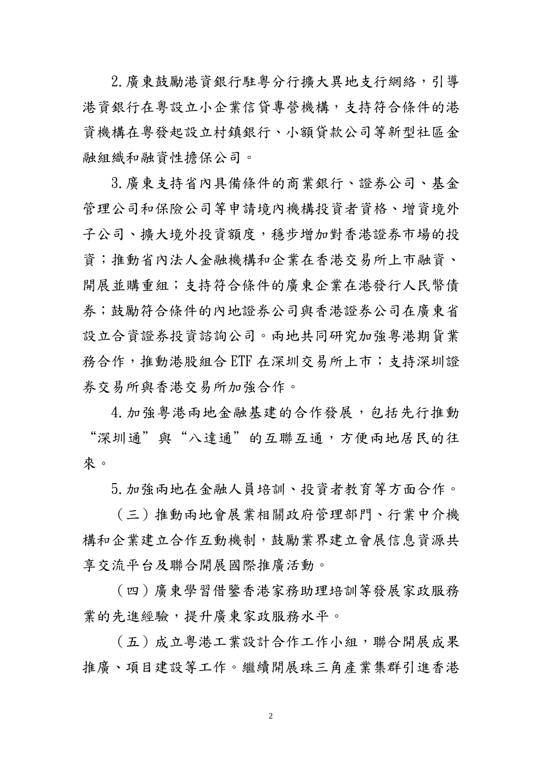2.廣東鼓勵港資銀行駐粵分行擴大異地支行網絡,引導 港資銀行在粵設立小企業信貸專營機構,支持符合條件的港 資機構在粵發起設立村鎮銀行、小額貸款公司等新型社區金 融組織和融資性擔保公司。

3.廣東支持省內具備條件的商業銀行、證券公司、基金 管理公司和保險公司等申請境內機構投資者資格、增資境外 子公司、擴大境外投資額度,穩步增加對香港證券市場的投 資;推動省內法人金融機構和企業在香港交易所上市融資、 開展並購重組;支持符合條件的廣東企業在港發行人民幣債 券;鼓勵符合條件的內地證券公司與香港證券公司在廣東省 設立合資證券投資諮詢公司。兩地共同研究加強粵港期貨業 務合作,推動港股組合 ETF 在深圳交易所上市;支持深圳證 券交易所與香港交易所加強合作。

4. 加強粵港兩地金融基建的合作發展, 包括先行推動 "深圳通"與"八達通"的互聯互通,方便兩地居民的往 來。

5.加強兩地在金融人員培訓、投資者教育等方面合作。

(三)推動兩地會展業相關政府管理部門、行業中介機 構和企業建立合作互動機制,鼓勵業界建立會展信息資源共 享交流平台及聯合開展國際推廣活動。

(四)廣東學習借鑒香港家務助理培訓等發展家政服務 業的先進經驗,提升廣東家政服務水平。

(五)成立粵港工業設計合作工作小組,聯合開展成果 推廣、項目建設等工作。繼續開展珠三角產業集群引進香港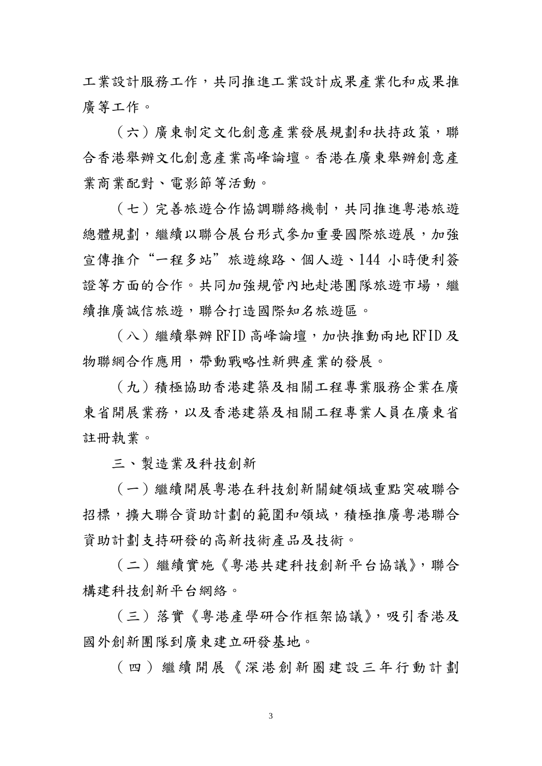工業設計服務工作,共同推進工業設計成果產業化和成果推 廣等工作。

(六)廣東制定文化創意產業發展規劃和扶持政策,聯 合香港舉辦文化創意產業高峰論壇。香港在廣東舉辦創意產 業商業配對、電影節等活動。

(七)完善旅遊合作協調聯絡機制,共同推進粵港旅遊 總體規劃,繼續以聯合展台形式參加重要國際旅遊展,加強 宣傳推介"一程多站"旅遊線路、個人遊、144 小時便利簽 證等方面的合作。共同加強規管內地赴港團隊旅遊市場,繼 續推廣誠信旅遊,聯合打造國際知名旅遊區。

(八)繼續舉辦 RFID 高峰論壇,加快推動兩地 RFID 及 物聯網合作應用,帶動戰略性新興產業的發展。

(九)積極協助香港建築及相關工程專業服務企業在廣 東省開展業務,以及香港建築及相關工程專業人員在廣東省 註冊執業。

三、製造業及科技創新

(一)繼續開展粵港在科技創新關鍵領域重點突破聯合 招標,攜大聯合資助計劃的範圍和領域,積極推廣粵港聯合 資助計劃支持研發的高新技術產品及技術。

(二)繼續實施《粵港共建科技創新平台協議》,聯合 構建科技創新平台網絡。

(三)落實《粵港產學研合作框架協議》,吸引香港及 國外創新團隊到廣東建立研發基地。

(四)繼續開展《深港創新圈建設三年行動計劃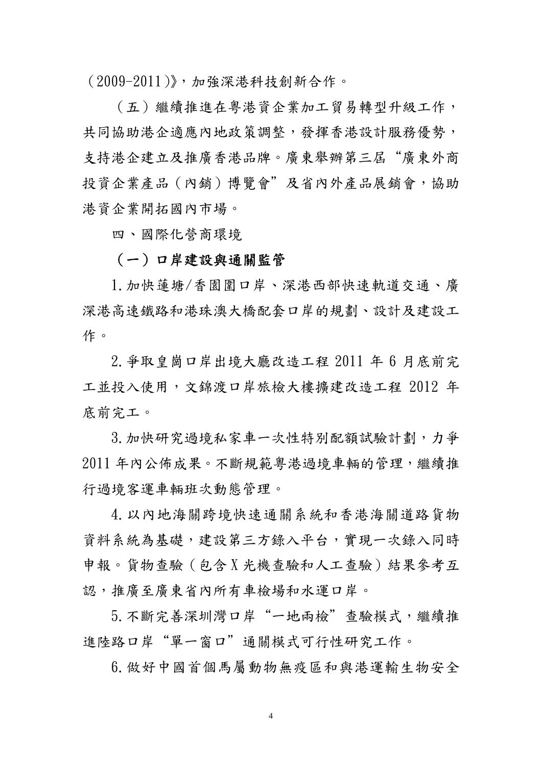(2009-2011)》,加強深港科技創新合作。

(五)繼續推進在粵港資企業加工貿易轉型升級工作, 共同協助港企適應內地政策調整,發揮香港設計服務優勢, 支持港企建立及推廣香港品牌。廣東舉辦第三屆"廣東外商 投資企業產品(內銷)博覽會"及省內外產品展銷會,協助 港資企業開拓國內市場。

四、國際化營商環境

4

#### (一)口岸建設與通關監管

1.加快蓮塘/香園圍口岸、深港西部快速軌道交通、廣 深港高速鐵路和港珠澳大橋配套口岸的規劃、設計及建設工 作。

2.爭取皇崗口岸出境大廳改造工程 2011 年 6 月底前完 工並投入使用,文錦渡口岸旅檢大樓擴建改造工程 2012 年 底前完工。

3. 加快研究過境私家車一次性特別配額試驗計劃, 力爭 2011 年內公佈成果。不斷規範粵港過境車輛的管理,繼續推 行過境客運車輛班次動態管理。

4.以內地海關跨境快速通關系統和香港海關道路貨物 資料系統為基礎,建設第三方錄入平台,實現一次錄入同時 申報。貨物查驗(包含 X 光機查驗和人工查驗)結果參考互 認,推廣至廣東省內所有車檢場和水運口岸。

5.不斷完善深圳灣口岸"一地兩檢"查驗模式,繼續推 進陸路口岸"單一窗口"通關模式可行性研究工作。

6.做好中國首個馬屬動物無疫區和與港運輸生物安全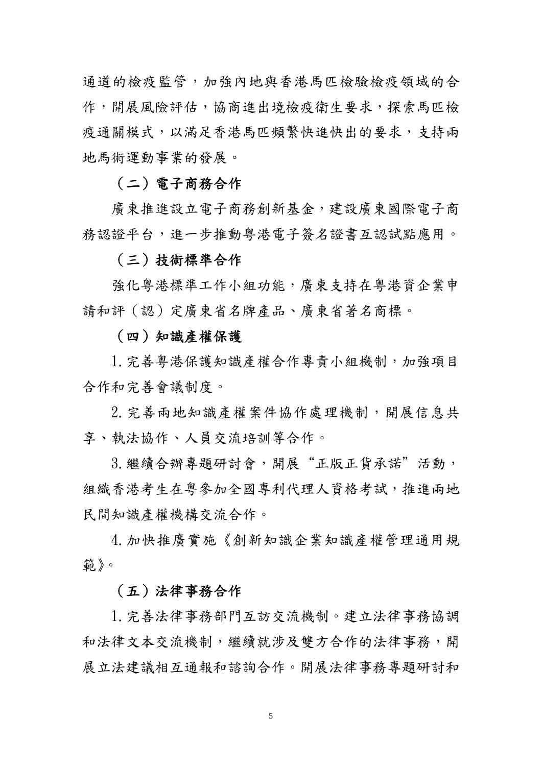通道的檢疫監管,加強內地與香港馬匹檢驗檢疫領域的合 作,開展風險評估,協商進出境檢疫衛生要求,探索馬匹檢 疫通關模式,以滿足香港馬匹頻繁快進快出的要求,支持兩 地馬術運動事業的發展。

## (二)電子商務合作

廣東推進設立電子商務創新基金,建設廣東國際電子商 務認證平台,進一步推動粵港電子簽名證書互認試點應用。

#### (三)技術標準合作

強化粵港標準工作小組功能,廣東支持在粵港資企業申 請和評(認)定廣東省名牌產品、廣東省著名商標。

#### (四)知識產權保護

1. 完善粵港保護知識產權合作專責小組機制, 加強項目 合作和完善會議制度。

2.完善兩地知識產權案件協作處理機制,開展信息共 享、執法協作、人員交流培訓等合作。

3. 繼續合辦專題研討會,開展"正版正貨承諾"活動, 組織香港考生在粵參加全國專利代理人資格考試,推進兩地 民間知識產權機構交流合作。

4.加快推廣實施《創新知識企業知識產權管理通用規 範》。

#### (五)法律事務合作

1.完善法律事務部門互訪交流機制。建立法律事務協調 和法律文本交流機制,繼續就涉及雙方合作的法律事務,開 展立法建議相互通報和諮詢合作。開展法律事務專題研討和

 $\sim$  5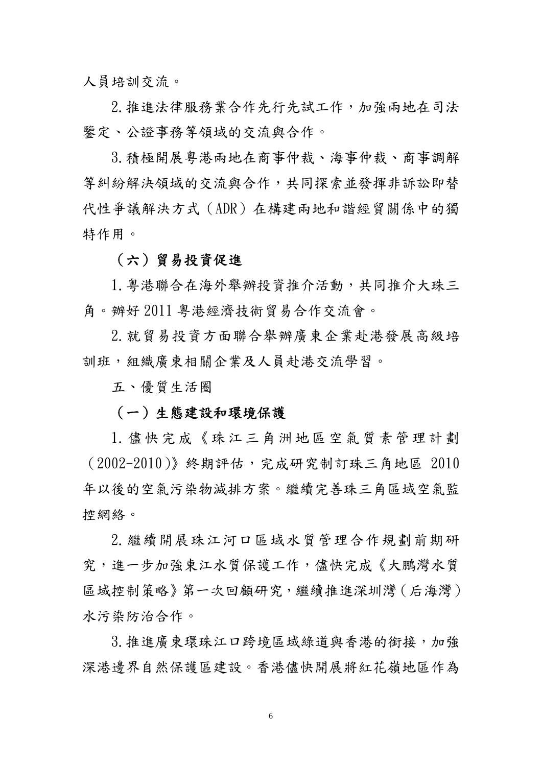人員培訓交流。

2.推進法律服務業合作先行先試工作,加強兩地在司法 鑒定、公證事務等領域的交流與合作。

3.積極開展粵港兩地在商事仲裁、海事仲裁、商事調解 等糾紛解決領域的交流與合作,共同探索並發揮非訴訟即替 代性爭議解決方式(ADR)在構建兩地和諧經貿關係中的獨 特作用。

## (六)貿易投資促進

1. 粵港聯合在海外舉辦投資推介活動, 共同推介大珠三 角。辦好 2011 粵港經濟技術貿易合作交流會。

2.就貿易投資方面聯合舉辦廣東企業赴港發展高級培 訓班,組織廣東相關企業及人員赴港交流學習。

五、優質生活圈

(一)生態建設和環境保護

1.儘快完成《珠江三角洲地區空氣質素管理計劃 (2002-2010)》終期評估,完成研究制訂珠三角地區 2010 年以後的空氣污染物減排方案。繼續完善珠三角區域空氣監 控網絡。

2.繼續開展珠江河口區域水質管理合作規劃前期研 究,進一步加強東江水質保護工作,儘快完成《大鵬灣水質 區域控制策略》第一次回顧研究,繼續推進深圳灣(后海灣) 水污染防治合作。

3.推進廣東環珠江口跨境區域綠道與香港的銜接,加強 深港邊界自然保護區建設。香港儘快開展將紅花嶺地區作為

 $\sim$  6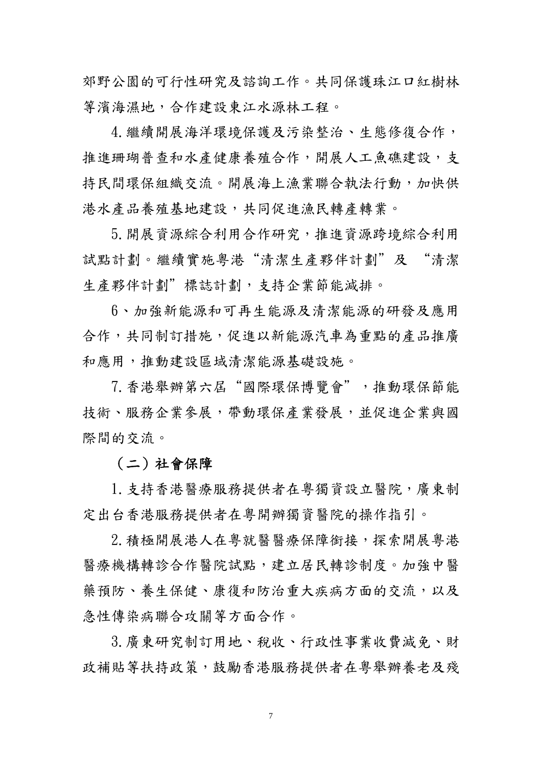郊野公園的可行性研究及諮詢工作。共同保護珠江口紅樹林 等濱海濕地,合作建設東江水源林工程。

4.繼續開展海洋環境保護及污染整治、生態修復合作, 推進珊瑚普查和水產健康養殖合作,開展人工魚礁建設,支 持民間環保組織交流。開展海上漁業聯合執法行動,加快供 港水產品養殖基地建設,共同促進漁民轉產轉業。

5.開展資源綜合利用合作研究,推進資源跨境綜合利用 試點計劃。繼續實施粵港"清潔生產夥伴計劃"及 "清潔 生產夥伴計劃"標誌計劃,支持企業節能減排。

6、加強新能源和可再生能源及清潔能源的研發及應用 合作,共同制訂措施,促進以新能源汽車為重點的產品推廣 和應用,推動建設區域清潔能源基礎設施。

7.香港舉辦第六屆"國際環保博覽會",推動環保節能 技術、服務企業參展,帶動環保產業發展,並促進企業與國 際間的交流。

(二)社會保障

1.支持香港醫療服務提供者在粵獨資設立醫院,廣東制 定出台香港服務提供者在粵開辦獨資醫院的操作指引。

2. 積極開展港人在粵就醫醫療保障銜接,探索開展粵港 醫療機構轉診合作醫院試點,建立居民轉診制度。加強中醫 藥預防、養生保健、康復和防治重大疾病方面的交流,以及 急性傳染病聯合攻關等方面合作。

3.廣東研究制訂用地、稅收、行政性事業收費減免、財 政補貼等扶持政策,鼓勵香港服務提供者在粵舉辦養老及殘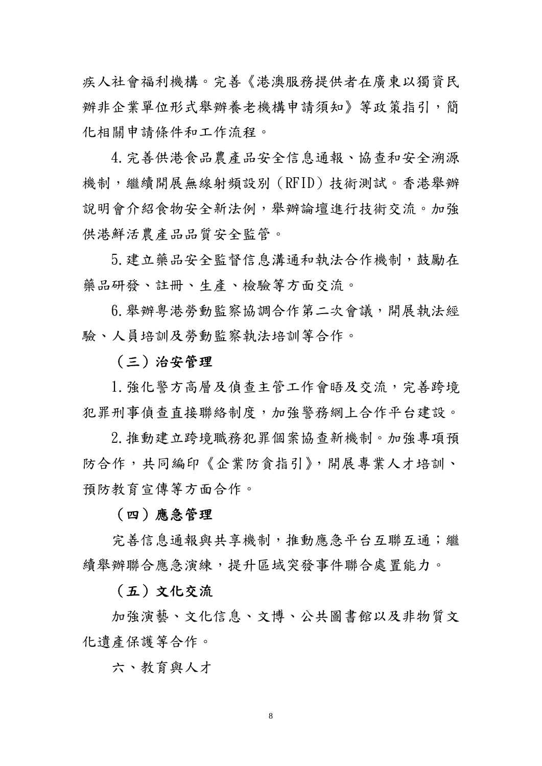疾人社會福利機構。完善《港澳服務提供者在廣東以獨資民 辦非企業單位形式舉辦養老機構申請須知》等政策指引,簡 化相關申請條件和工作流程。

4.完善供港食品農產品安全信息通報、協查和安全溯源 機制,繼續開展無線射頻設別(RFID)技術測試。香港舉辦 說明會介紹食物安全新法例,舉辦論壇進行技術交流。加強 供港鮮活農產品品質安全監管。

5.建立藥品安全監督信息溝通和執法合作機制,鼓勵在 藥品研發、註冊、生產、檢驗等方面交流。

6.舉辦粵港勞動監察協調合作第二次會議,開展執法經 驗、人員培訓及勞動監察執法培訓等合作。

#### (三)治安管理

1.強化警方高層及偵查主管工作會晤及交流,完善跨境 犯罪刑事偵查直接聯絡制度,加強警務網上合作平台建設。

2.推動建立跨境職務犯罪個案協查新機制。加強專項預 防合作,共同編印《企業防貪指引》,開展專業人才培訓、 預防教育宣傳等方面合作。

#### (四)應急管理

完善信息通報與共享機制,推動應急平台互聯互通;繼 續舉辦聯合應急演練,提升區域突發事件聯合處置能力。

#### (五)文化交流

加強演藝、文化信息、文博、公共圖書館以及非物質文 化遺產保護等合作。

六、教育與人才

8 and 2012 and 2013 and 2014 and 2014 and 2014 and 2014 and 2014 and 2014 and 2014 and 2014 and 2014 and 2014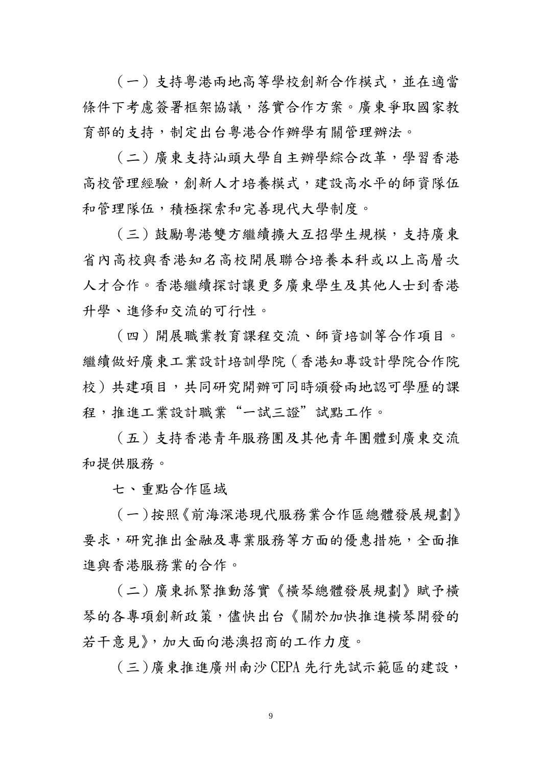(一)支持粵港兩地高等學校創新合作模式,並在適當 條件下考慮簽署框架協議,落實合作方案。廣東爭取國家教 育部的支持,制定出台粵港合作辦學有關管理辦法。

(二)廣東支持汕頭大學自主辦學綜合改革,學習香港 高校管理經驗,創新人才培養模式,建設高水平的師資隊伍 和管理隊伍,積極探索和完善現代大學制度。

(三)鼓勵粵港雙方繼續擴大互招學生規模,支持廣東 省內高校與香港知名高校開展聯合培養本科或以上高層次 人才合作。香港繼續探討讓更多廣東學生及其他人士到香港 升學、進修和交流的可行性。

(四)開展職業教育課程交流、師資培訓等合作項目。 繼續做好廣東工業設計培訓學院(香港知專設計學院合作院 校)共建項目,共同研究開辦可同時頒發兩地認可學歷的課 程,推進工業設計職業"一試三證"試點工作。

(五)支持香港青年服務團及其他青年團體到廣東交流 和提供服務。

七、重點合作區域

(一)按照《前海深港現代服務業合作區總體發展規劃》 要求,研究推出金融及專業服務等方面的優惠措施,全面推 進與香港服務業的合作。

(二)廣東抓緊推動落實《橫琴總體發展規劃》賦予橫 琴的各專項創新政策,儘快出台《關於加快推進橫琴開發的 若干意見》,加大面向港澳招商的工作力度。

(三)廣東推進廣州南沙 CEPA 先行先試示範區的建設,